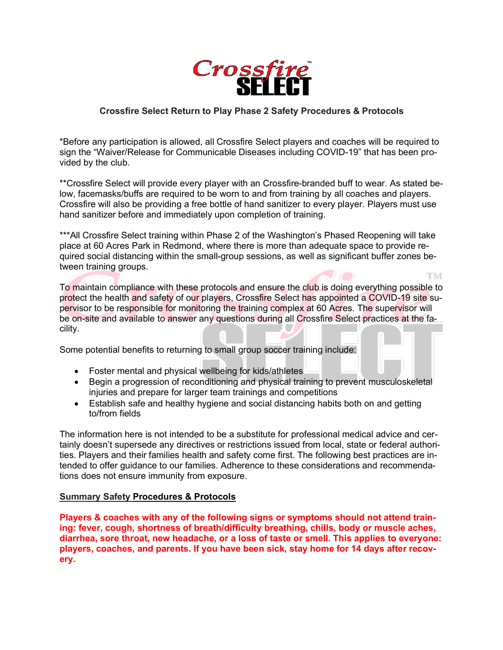

## **Crossfire Select Return to Play Phase 2 Safety Procedures & Protocols**

\*Before any participation is allowed, all Crossfire Select players and coaches will be required to sign the "Waiver/Release for Communicable Diseases including COVID-19" that has been provided by the club.

\*\*Crossfire Select will provide every player with an Crossfire-branded buff to wear. As stated below, facemasks/buffs are required to be worn to and from training by all coaches and players. Crossfire will also be providing a free bottle of hand sanitizer to every player. Players must use hand sanitizer before and immediately upon completion of training.

\*\*\*All Crossfire Select training within Phase 2 of the Washington's Phased Reopening will take place at 60 Acres Park in Redmond, where there is more than adequate space to provide required social distancing within the small-group sessions, as well as significant buffer zones between training groups.

To maintain compliance with these protocols and ensure the club is doing everything possible to protect the health and safety of our players, Crossfire Select has appointed a COVID-19 site supervisor to be responsible for monitoring the training complex at 60 Acres. The supervisor will be on-site and available to answer any questions during all Crossfire Select practices at the facility.

Some potential benefits to returning to small group soccer training include:

- Foster mental and physical wellbeing for kids/athletes
- Begin a progression of reconditioning and physical training to prevent musculoskeletal injuries and prepare for larger team trainings and competitions
- Establish safe and healthy hygiene and social distancing habits both on and getting to/from fields

The information here is not intended to be a substitute for professional medical advice and certainly doesn't supersede any directives or restrictions issued from local, state or federal authorities. Players and their families health and safety come first. The following best practices are intended to offer guidance to our families. Adherence to these considerations and recommendations does not ensure immunity from exposure.

### **Summary Safety Procedures & Protocols**

**Players & coaches with any of the following signs or symptoms should not attend training: fever, cough, shortness of breath/difficulty breathing, chills, body or muscle aches, diarrhea, sore throat, new headache, or a loss of taste or smell. This applies to everyone: players, coaches, and parents. If you have been sick, stay home for 14 days after recovery.**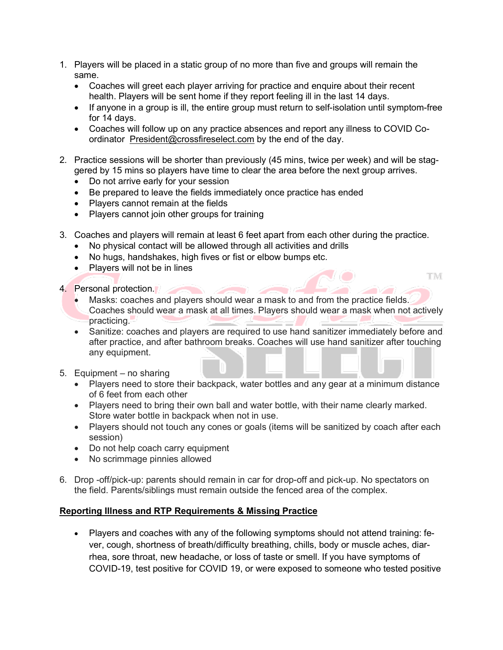- 1. Players will be placed in a static group of no more than five and groups will remain the same.
	- Coaches will greet each player arriving for practice and enquire about their recent health. Players will be sent home if they report feeling ill in the last 14 days.
	- If anyone in a group is ill, the entire group must return to self-isolation until symptom-free for 14 days.
	- Coaches will follow up on any practice absences and report any illness to COVID Coordinator President@crossfireselect.com by the end of the day.
- 2. Practice sessions will be shorter than previously (45 mins, twice per week) and will be staggered by 15 mins so players have time to clear the area before the next group arrives.
	- Do not arrive early for your session
	- Be prepared to leave the fields immediately once practice has ended
	- Players cannot remain at the fields
	- Players cannot join other groups for training
- 3. Coaches and players will remain at least 6 feet apart from each other during the practice.
	- No physical contact will be allowed through all activities and drills
	- No hugs, handshakes, high fives or fist or elbow bumps etc.
	- Players will not be in lines
- 4. Personal protection.
	- Masks: coaches and players should wear a mask to and from the practice fields. Coaches should wear a mask at all times. Players should wear a mask when not actively practicing.

**TM** 

- Sanitize: coaches and players are required to use hand sanitizer immediately before and after practice, and after bathroom breaks. Coaches will use hand sanitizer after touching any equipment.
- 5. Equipment no sharing
	- Players need to store their backpack, water bottles and any gear at a minimum distance of 6 feet from each other
	- Players need to bring their own ball and water bottle, with their name clearly marked. Store water bottle in backpack when not in use.
	- Players should not touch any cones or goals (items will be sanitized by coach after each session)
	- Do not help coach carry equipment
	- No scrimmage pinnies allowed
- 6. Drop -off/pick-up: parents should remain in car for drop-off and pick-up. No spectators on the field. Parents/siblings must remain outside the fenced area of the complex.

### **Reporting Illness and RTP Requirements & Missing Practice**

• Players and coaches with any of the following symptoms should not attend training: fever, cough, shortness of breath/difficulty breathing, chills, body or muscle aches, diarrhea, sore throat, new headache, or loss of taste or smell. If you have symptoms of COVID-19, test positive for COVID 19, or were exposed to someone who tested positive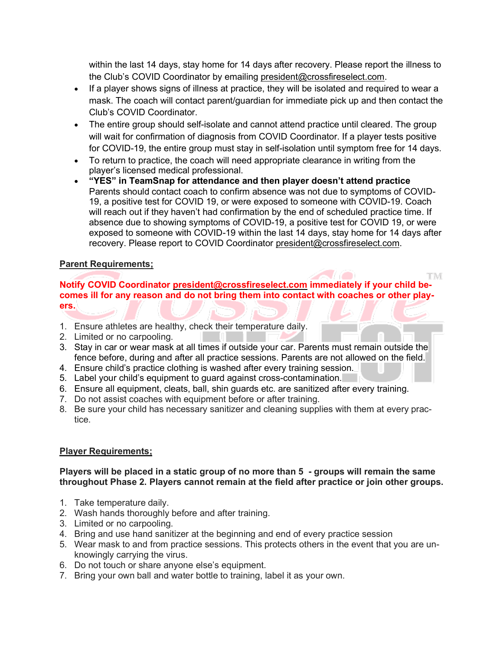within the last 14 days, stay home for 14 days after recovery. Please report the illness to the Club's COVID Coordinator by emailing president@crossfireselect.com.

- If a player shows signs of illness at practice, they will be isolated and required to wear a mask. The coach will contact parent/guardian for immediate pick up and then contact the Club's COVID Coordinator.
- The entire group should self-isolate and cannot attend practice until cleared. The group will wait for confirmation of diagnosis from COVID Coordinator. If a player tests positive for COVID-19, the entire group must stay in self-isolation until symptom free for 14 days.
- To return to practice, the coach will need appropriate clearance in writing from the player's licensed medical professional.
- **"YES" in TeamSnap for attendance and then player doesn't attend practice** Parents should contact coach to confirm absence was not due to symptoms of COVID-19, a positive test for COVID 19, or were exposed to someone with COVID-19. Coach will reach out if they haven't had confirmation by the end of scheduled practice time. If absence due to showing symptoms of COVID-19, a positive test for COVID 19, or were exposed to someone with COVID-19 within the last 14 days, stay home for 14 days after recovery. Please report to COVID Coordinator president@crossfireselect.com.

**TIME** 

# **Parent Requirements;**

**Notify COVID Coordinator president@crossfireselect.com immediately if your child becomes ill for any reason and do not bring them into contact with coaches or other players.**

- 1. Ensure athletes are healthy, check their temperature daily.
- 2. Limited or no carpooling.
- 3. Stay in car or wear mask at all times if outside your car. Parents must remain outside the fence before, during and after all practice sessions. Parents are not allowed on the field.
- 4. Ensure child's practice clothing is washed after every training session.
- 5. Label your child's equipment to guard against cross-contamination.
- 6. Ensure all equipment, cleats, ball, shin guards etc. are sanitized after every training.
- 7. Do not assist coaches with equipment before or after training.
- 8. Be sure your child has necessary sanitizer and cleaning supplies with them at every practice.

### **Player Requirements;**

#### **Players will be placed in a static group of no more than 5 - groups will remain the same throughout Phase 2. Players cannot remain at the field after practice or join other groups.**

- 1. Take temperature daily.
- 2. Wash hands thoroughly before and after training.
- 3. Limited or no carpooling.
- 4. Bring and use hand sanitizer at the beginning and end of every practice session
- 5. Wear mask to and from practice sessions. This protects others in the event that you are unknowingly carrying the virus.
- 6. Do not touch or share anyone else's equipment.
- 7. Bring your own ball and water bottle to training, label it as your own.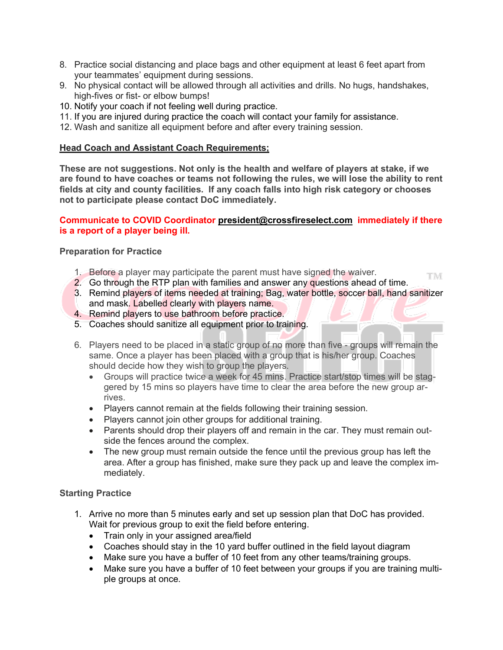- 8. Practice social distancing and place bags and other equipment at least 6 feet apart from your teammates' equipment during sessions.
- 9. No physical contact will be allowed through all activities and drills. No hugs, handshakes, high-fives or fist- or elbow bumps!
- 10. Notify your coach if not feeling well during practice.
- 11. If you are injured during practice the coach will contact your family for assistance.
- 12. Wash and sanitize all equipment before and after every training session.

### **Head Coach and Assistant Coach Requirements;**

**These are not suggestions. Not only is the health and welfare of players at stake, if we are found to have coaches or teams not following the rules, we will lose the ability to rent fields at city and county facilities. If any coach falls into high risk category or chooses not to participate please contact DoC immediately.**

#### **Communicate to COVID Coordinator president@crossfireselect.com immediately if there is a report of a player being ill.**

#### **Preparation for Practice**

1. Before a player may participate the parent must have signed the waiver. **TIM** 

2. Go through the RTP plan with families and answer any questions ahead of time.

- 3. Remind players of items needed at training; Bag, water bottle, soccer ball, hand sanitizer and mask. Labelled clearly with players name.
- 4. Remind players to use bathroom before practice.
- 5. Coaches should sanitize all equipment prior to training.
- 6. Players need to be placed in a static group of no more than five groups will remain the same. Once a player has been placed with a group that is his/her group. Coaches should decide how they wish to group the players.
	- Groups will practice twice a week for 45 mins. Practice start/stop times will be staggered by 15 mins so players have time to clear the area before the new group arrives.
	- Players cannot remain at the fields following their training session.
	- Players cannot join other groups for additional training.
	- Parents should drop their players off and remain in the car. They must remain outside the fences around the complex.
	- The new group must remain outside the fence until the previous group has left the area. After a group has finished, make sure they pack up and leave the complex immediately.

### **Starting Practice**

- 1. Arrive no more than 5 minutes early and set up session plan that DoC has provided. Wait for previous group to exit the field before entering.
	- Train only in your assigned area/field
	- Coaches should stay in the 10 yard buffer outlined in the field layout diagram
	- Make sure you have a buffer of 10 feet from any other teams/training groups.
	- Make sure you have a buffer of 10 feet between your groups if you are training multiple groups at once.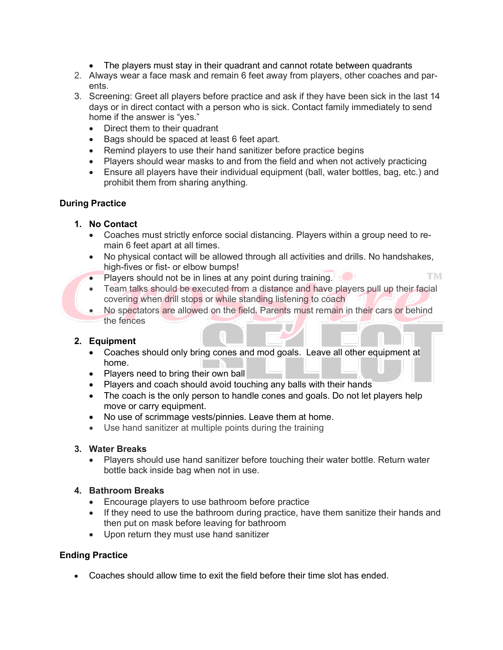- The players must stay in their quadrant and cannot rotate between quadrants
- 2. Always wear a face mask and remain 6 feet away from players, other coaches and parents.
- 3. Screening: Greet all players before practice and ask if they have been sick in the last 14 days or in direct contact with a person who is sick. Contact family immediately to send home if the answer is "yes."
	- Direct them to their quadrant
	- Bags should be spaced at least 6 feet apart.
	- Remind players to use their hand sanitizer before practice begins
	- Players should wear masks to and from the field and when not actively practicing
	- Ensure all players have their individual equipment (ball, water bottles, bag, etc.) and prohibit them from sharing anything.

# **During Practice**

# **1. No Contact**

- Coaches must strictly enforce social distancing. Players within a group need to remain 6 feet apart at all times.
- No physical contact will be allowed through all activities and drills. No handshakes, high-fives or fist- or elbow bumps!
- **TM** • Players should not be in lines at any point during training.  $\Box$
- Team talks should be executed from a distance and have players pull up their facial covering when drill stops or while standing listening to coach
- No spectators are allowed on the field. Parents must remain in their cars or behind the fences

### **2. Equipment**

- Coaches should only bring cones and mod goals. Leave all other equipment at home.
- Players need to bring their own ball
- Players and coach should avoid touching any balls with their hands
- The coach is the only person to handle cones and goals. Do not let players help move or carry equipment.
- No use of scrimmage vests/pinnies. Leave them at home.
- Use hand sanitizer at multiple points during the training

### **3. Water Breaks**

• Players should use hand sanitizer before touching their water bottle. Return water bottle back inside bag when not in use.

### **4. Bathroom Breaks**

- Encourage players to use bathroom before practice
- If they need to use the bathroom during practice, have them sanitize their hands and then put on mask before leaving for bathroom
- Upon return they must use hand sanitizer

### **Ending Practice**

• Coaches should allow time to exit the field before their time slot has ended.